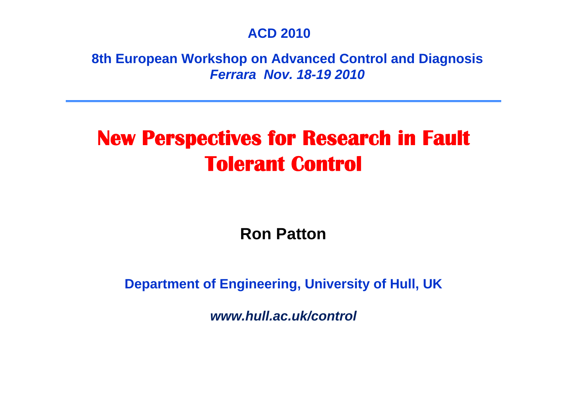#### **ACD 2010**

**8th European Workshop on Advanced Control and Diagnosis** *Ferrara Nov. 18-19 2010*

## **New Perspectives for Research in Fault Tolerant Control**

**Ron Patton**

**Department of Engineering, University of Hull, UK**

*www.hull.ac.uk/control*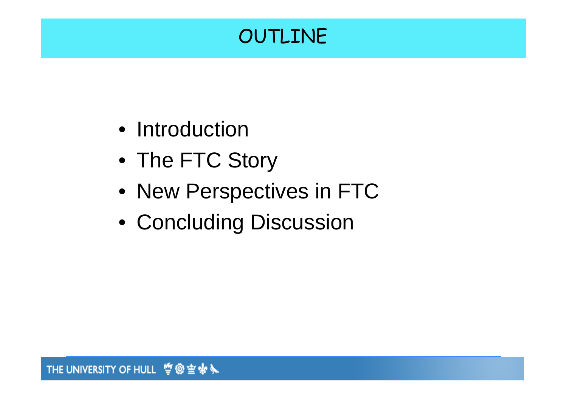## OUTLINE

- Introduction
- The FTC Story
- New Perspectives in FTC
- Concluding Discussion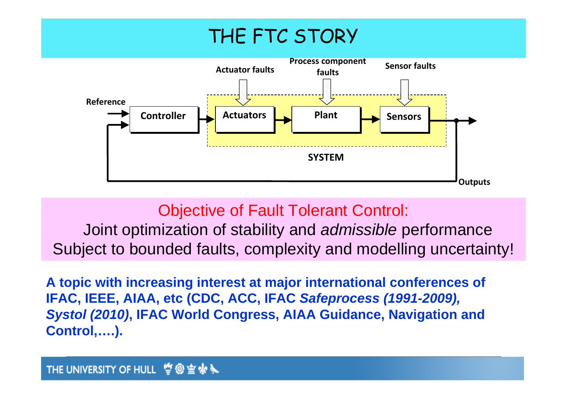

### Objective of Fault Tolerant Control:

Joint optimization of stability and *admissible* performance Subject to bounded faults, complexity and modelling uncertainty!

**A topic with increasing interest at major international conferences of IFAC, IEEE, AIAA, etc (CDC, ACC, IFAC** *Safeprocess (1991-2009), Systol (2010)***, IFAC World Congress, AIAA Guidance, Navigation and Control,….).**

#### THE UNIVERSITY OF HULL  $\ddot{\mathbf{C}}$ @ 雪卡!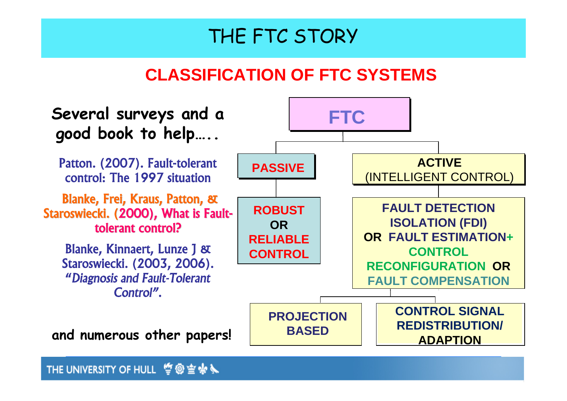### **CLASSIFICATION OF FTC SYSTEMS**



**THE UNIVERSITY OF HULL 掌@空楽入**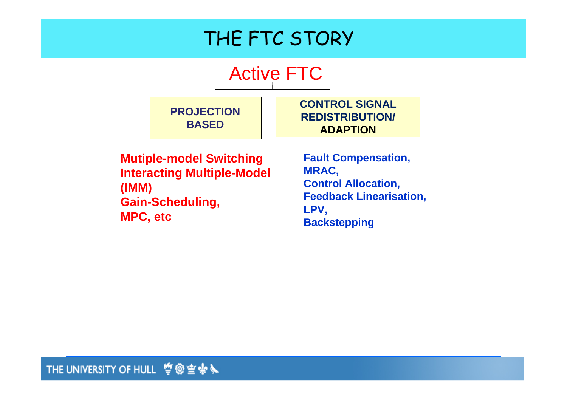

**Mutiple-model Switching Interacting Multiple-Model (IMM) Gain-Scheduling, MPC, etc**

**Fault Compensation, MRAC, Control Allocation, Feedback Linearisation, LPV, Backstepping**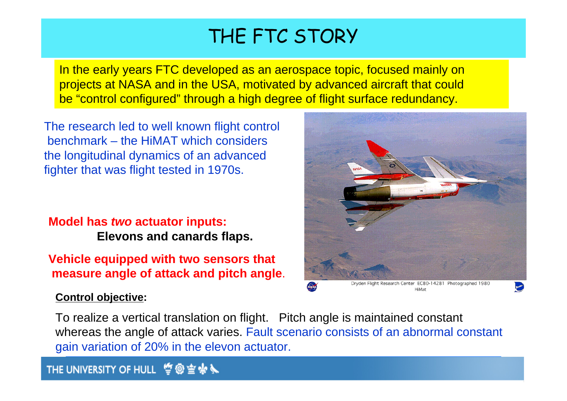In the early years FTC developed as an aerospace topic, focused mainly on projects at NASA and in the USA, motivated by advanced aircraft that could be "control configured" through a high degree of flight surface redundancy.

The research led to well known flight control benchmark – the HiMAT which considers the longitudinal dynamics of an advanced fighter that was flight tested in 1970s.

#### **Model has** *two* **actuator inputs: Elevons and canards flaps.**

**Vehicle equipped with two sensors that measure angle of attack and pitch angle**.

#### **Control objective:**

Dryden Flight Research Center EC80-14281 Photographed 1980 HiMat

To realize a vertical translation on flight. Pitch angle is maintained constant whereas the angle of attack varies. Fault scenario consists of an abnormal constant gain variation of 20% in the elevon actuator.

#### **THE UNIVERSITY OF HULL 管@空柴系**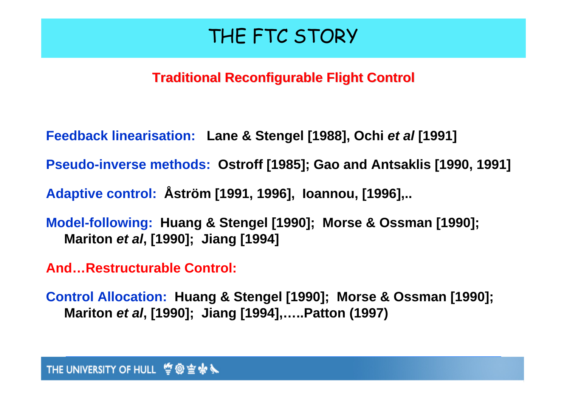### **Traditional Reconfigurable Flight Control Traditional Reconfigurable Flight Control**

- **Feedback linearisation: Lane & Stengel [1988], Ochi** *et al* **[1991]**
- **Pseudo-inverse methods: Ostroff [1985]; Gao and Antsaklis [1990, 1991]**
- **Adaptive control: Åström [1991, 1996], Ioannou, [1996],..**
- **Model-following: Huang & Stengel [1990]; Morse & Ossman [1990]; Mariton** *et al***, [1990]; Jiang [1994]**
- **And…Restructurable Control:**
- **Control Allocation: Huang & Stengel [1990]; Morse & Ossman [1990]; Mariton** *et al***, [1990]; Jiang [1994],…..Patton (1997)**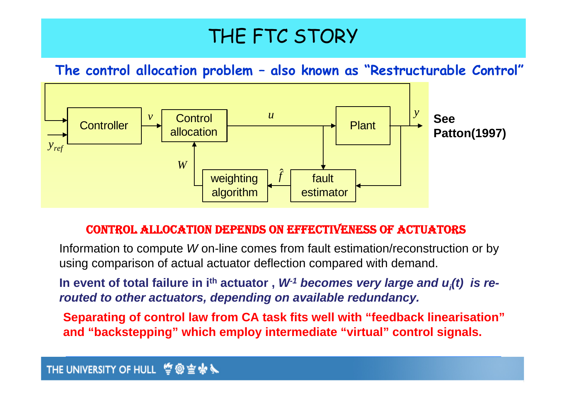**The control allocation problem – also known as "Restructurable Control"**



#### CONTROL ALLOCATION DEPENDS ON EFFECTIVENESS OF ACTUATORS

Information to compute *W* on-line comes from fault estimation/reconstruction or by using comparison of actual actuator deflection compared with demand.

In event of total failure in i<sup>th</sup> actuator,  $W<sup>-1</sup>$  becomes very large and  $u_i(t)$  is re*routed to other actuators, depending on available redundancy.*

**Separating of control law from CA task fits well with "feedback linearisation" and "backstepping" which employ intermediate "virtual" control signals.**

#### THE UNIVERSITY OF HULL @ 雪卡人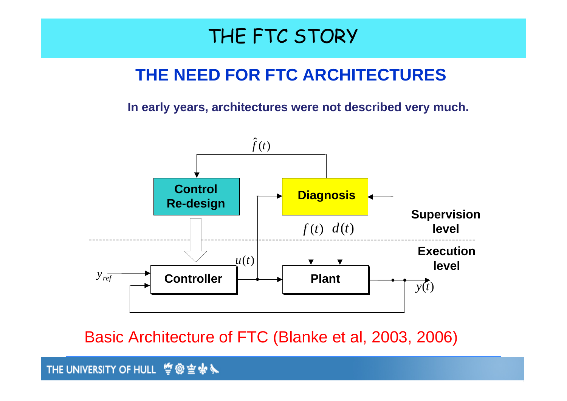### **THE NEED FOR FTC ARCHITECTURES**

**In early years, architectures were not described very much.** 



Basic Architecture of FTC (Blanke et al, 2003, 2006)

**THE UNIVERSITY OF HULL 竺@空永入**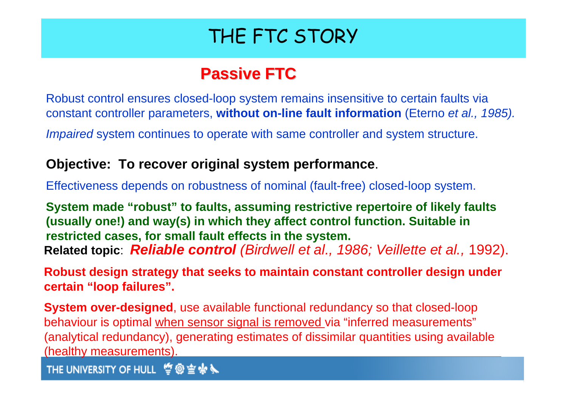### **Passive FTC Passive FTC**

Robust control ensures closed-loop system remains insensitive to certain faults via constant controller parameters, **without on-line fault information** (Eterno *et al., 1985).* 

*Impaired* system continues to operate with same controller and system structure.

#### **Objective: To recover original system performance**.

Effectiveness depends on robustness of nominal (fault-free) closed-loop system.

**System made "robust" to faults, assuming restrictive repertoire of likely faults (usually one!) and way(s) in which they affect control function. Suitable in restricted cases, for small fault effects in the system. Related topic**: *Reliable control (Birdwell et al., 1986; Veillette et al.,* 1992).

**Robust design strategy that seeks to maintain constant controller design under certain "loop failures".**

**System over-designed**, use available functional redundancy so that closed-loop behaviour is optimal when sensor signal is removed via "inferred measurements" (analytical redundancy), generating estimates of dissimilar quantities using available (healthy measurements).

**THE UNIVERSITY OF HULL 掌@空余义**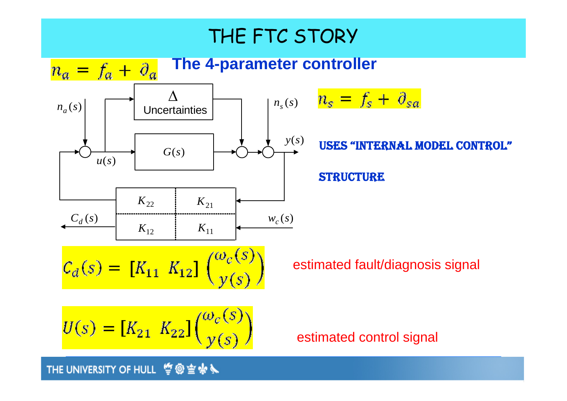

**THE UNIVERSITY OF HULL 掌@空余入**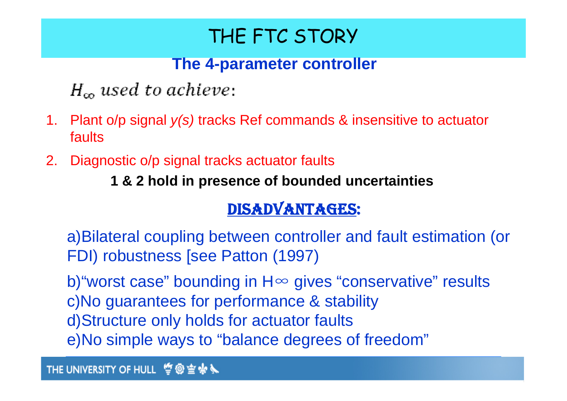### **The 4-parameter controller**

 $H_{\infty}$  used to achieve:

- 1. Plant o/p signal *y(s)* tracks Ref commands & insensitive to actuator faults
- 2. Diagnostic o/p signal tracks actuator faults

**1 & 2 hold in presence of bounded uncertainties**

### DISADVANTAGES:

a)Bilateral coupling between controller and fault estimation (or FDI) robustness [see Patton (1997)

b) "worst case" bounding in H∞ gives "conservative" results c)No guarantees for performance & stability d)Structure only holds for actuator faults e)No simple ways to "balance degrees of freedom"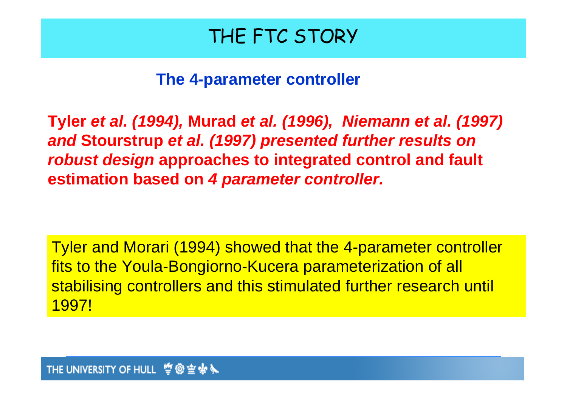**The 4-parameter controller**

**Tyler** *et al. (1994),* **Murad** *et al. (1996), Niemann et al. (1997) and* **Stourstrup** *et al. (1997) presented further results on robust design* **approaches to integrated control and fault estimation based on** *4 parameter controller.*

Tyler and Morari (1994) showed that the 4-parameter controller fits to the Youla-Bongiorno-Kucera parameterization of all stabilising controllers and this stimulated further research until 1997!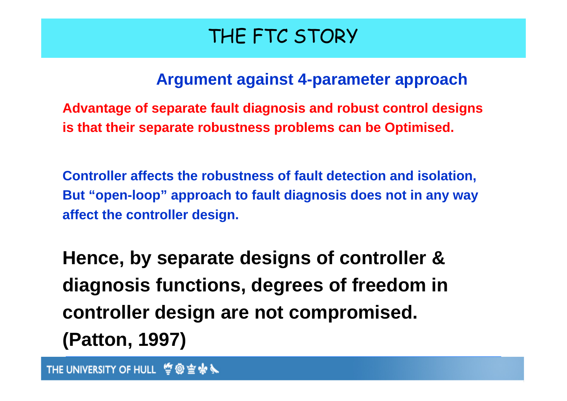### **Argument against 4-parameter approach**

**Advantage of separate fault diagnosis and robust control designs is that their separate robustness problems can be Optimised.** 

**Controller affects the robustness of fault detection and isolation, But "open-loop" approach to fault diagnosis does not in any way affect the controller design.** 

**Hence, by separate designs of controller & diagnosis functions, degrees of freedom in controller design are not compromised. (Patton, 1997)**

**THE UNIVERSITY OF HULL 掌@空楽入**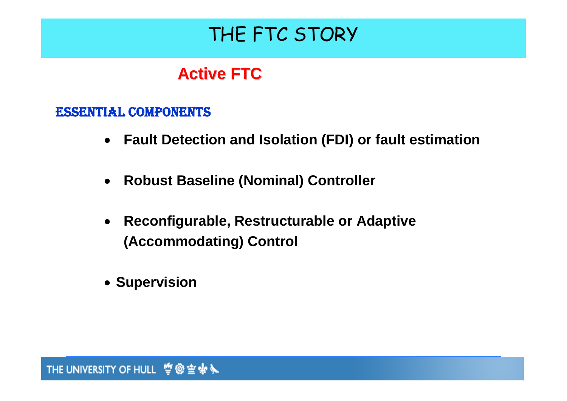### **Active FTC Active FTC**

#### ESSENTIAL COMPONENTS

- **Fault Detection and Isolation (FDI) or fault estimation**
- $\bullet$ **Robust Baseline (Nominal) Controller**
- $\bullet$  **Reconfigurable, Restructurable or Adaptive (Accommodating) Control**
- **Supervision**

**THE UNIVERSITY OF HULL 空@空余入**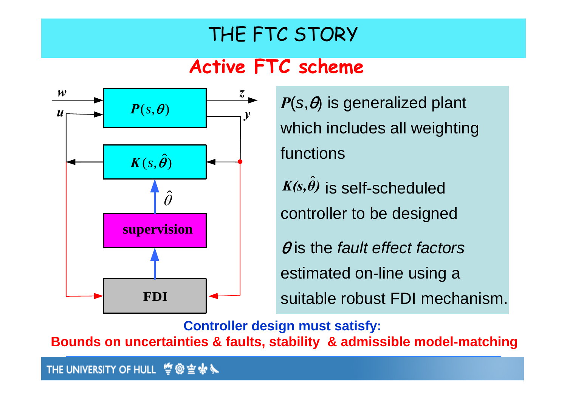### **Active FTC scheme**



 $P(s, \theta)$  is generalized plant which includes all weighting functions

 $K(s, \hat{\theta})$  is self-scheduled controller to be designed *θ)*

θ is the *fault effect factors*  estimated on-line using a suitable robust FDI mechanism.

**Controller design must satisfy:** 

**Bounds on uncertainties & faults, stability & admissible model-matching**

THE UNIVERSITY OF HULL 訾@宣咏义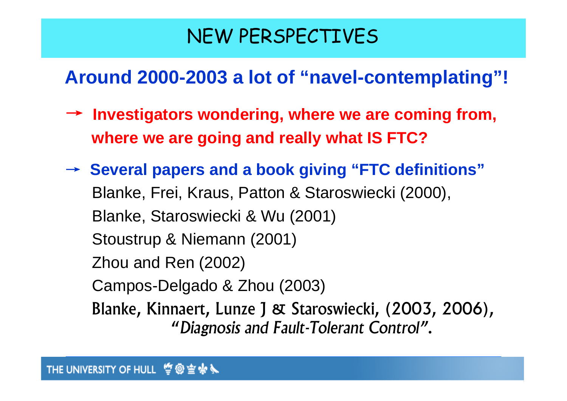### **Around 2000-2003 a lot of "navel-contemplating"!**

- → **Investigators wondering, where we are coming from, where we are going and really what IS FTC?**
- → **Several papers and a book giving "FTC definitions"** . . Blanke, Frei, Kraus, Patton & Staroswiecki (2000), Blanke, Staroswiecki & Wu (2001) Stoustrup & Niemann (2001) Zhou and Ren (2002) Campos-Delgado & Zhou (2003) Blanke, Kinnaert, Lunze J & Staroswiecki, (2003, 2006), "*Diagnosis and Fault-Tolerant Control"*.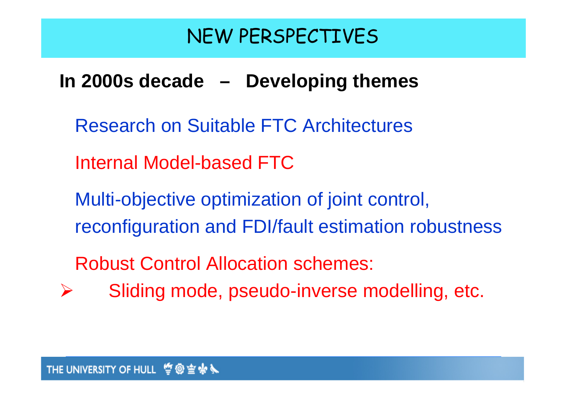### **In 2000s decade – Developing themes**

- Research on Suitable FTC Architectures
- Internal Model-based FTC
- Multi-objective optimization of joint control, reconfiguration and FDI/fault estimation robustness
- Robust Control Allocation schemes:
- ¾Sliding mode, pseudo-inverse modelling, etc.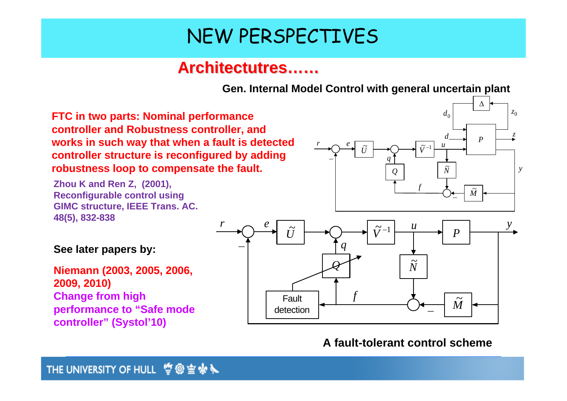*r*

 $r \sim e$ 

### **Architectutres Architectutres……**

**Gen. Internal Model Control with general uncertain plant**

*U*~

*q*

*Q N*

**FTC in two parts: Nominal performance controller and Robustness controller, and works in such way that when a fault is detected controller structure is reconfigured by adding robustness loop to compensate the fault.**

**Zhou K and Ren Z, (2001), Reconfigurable control using GIMC structure, IEEE Trans. AC. 48(5), 832-838**



#### **A fault-tolerant control scheme**

 $d_0$ 

*d*

~

*f*

~−1 *V* $\widetilde{V}^{-1}$   $\frac{u}{u}$ 

*d* J<sub>n</sub>  $\left| \right|$   $\frac{z}{2}$ 

 $\widetilde{M}$ 

*P*

Δ

<sup>0</sup>*z*

*y*

**See later papers by:**

**Niemann (2003, 2005, 2006, 2009, 2010) Change from high performance to "Safe mode controller" (Systol'10)**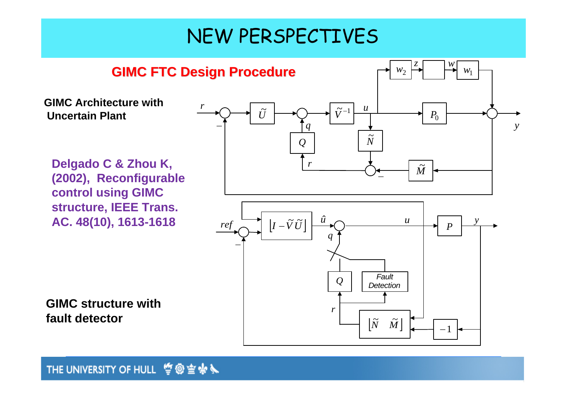

#### **THE UNIVERSITY OF HULL 空@空余入**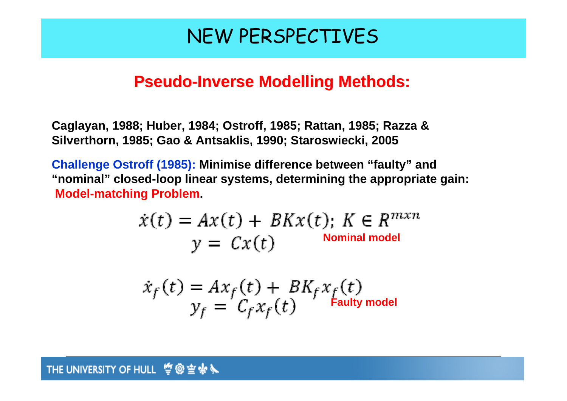### **Pseudo-Inverse Modelling Methods:**

**Caglayan, 1988; Huber, 1984; Ostroff, 1985; Rattan, 1985; Razza & Silverthorn, 1985; Gao & Antsaklis, 1990; Staroswiecki, 2005**

**Challenge Ostroff (1985): Minimise difference between "faulty" and "nominal" closed-loop linear systems, determining the appropriate gain: Model-matching Problem.**

$$
\dot{x}(t) = Ax(t) + BKx(t); \ K \in R^{mxn}
$$

$$
y = Cx(t)
$$
 Nominal model

$$
\dot{x}_f(t) = Ax_f(t) + BK_f x_f(t)
$$
  

$$
y_f = C_f x_f(t)
$$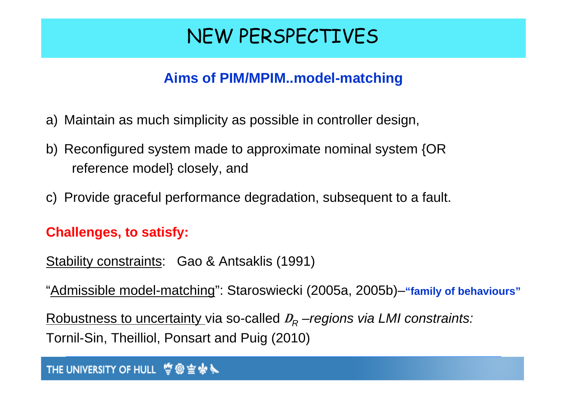### **Aims of PIM/MPIM..model-matching**

- a) Maintain as much simplicity as possible in controller design,
- b) Reconfigured system made to approximate nominal system {OR reference model} closely, and
- c) Provide graceful performance degradation, subsequent to a fault.

### **Challenges, to satisfy:**

- Stability constraints: Gao & Antsaklis (1991)
- "Admissible model-matching": Staroswiecki (2005a, 2005b)–**"family of behaviours"**

Robustness to uncertainty via so-called <sup>D</sup>*R –regions via LMI constraints:* Tornil-Sin, Theilliol, Ponsart and Puig (2010)

#### **THE UNIVERSITY OF HULL 空@空余入**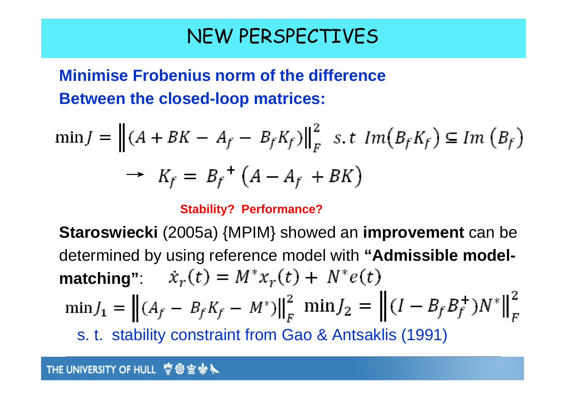### **Minimise Frobenius norm of the difference Between the closed-loop matrices:**

$$
\min J = \left\| (A + BK - A_f - B_f K_f) \right\|_F^2 \quad s.t \quad Im(B_f K_f) \subseteq Im(B_f)
$$
  

$$
\rightarrow K_f = B_f^+ (A - A_f + BK)
$$

#### **Stability? Performance?**

**Staroswiecki** (2005a) {MPIM} showed an **improvement** can be determined by using reference model with **"Admissible modelmatching**":  $\dot{x}_r(t) = M^* x_r(t) + N^* e(t)$  $\min J_1 = || (A_f - B_f K_f - M^*)||_F^2$   $\min J_2 = || (I - B_f B_f^+) N^*||_F^2$ s. t. stability constraint from Gao & Antsaklis (1991)

#### **THE UNIVERSITY OF HULL 掌@空杂义**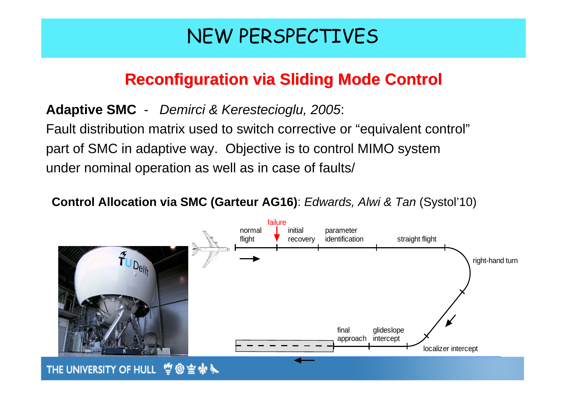### **Reconfiguration via Sliding Mode Control Reconfiguration via Sliding Mode Control**

### **Adaptive SMC** - *Demirci & Kerestecioglu, 2005*:

Fault distribution matrix used to switch corrective or "equivalent control" part of SMC in adaptive way. Objective is to control MIMO system under nominal operation as well as in case of faults/

**Control Allocation via SMC (Garteur AG16)**: *Edwards, Alwi & Tan* (Systol'10)



THE UNIVERSITY OF HULL 曾@宣永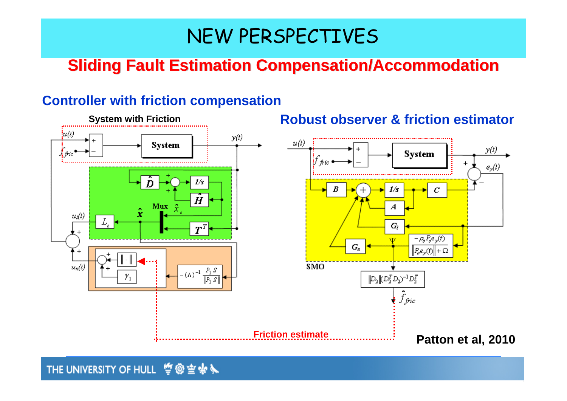### **Sliding Fault Estimation Compensation/Accommodation**

#### **Controller with friction compensation**



**THE UNIVERSITY OF HULL 竺@空余入**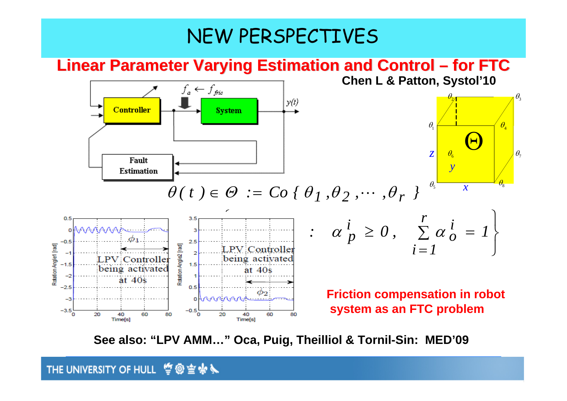#### **Linear Parameter Varying Estimation and Control – for FTC Chen L & Patton, Systol'10**  $f_a \leftarrow f_{\text{fric}}$



**See also: "LPV AMM…" Oca, Puig, Theilliol & Tornil-Sin: MED'09** 

#### **THE UNIVERSITY OF HULL 掌@空余入**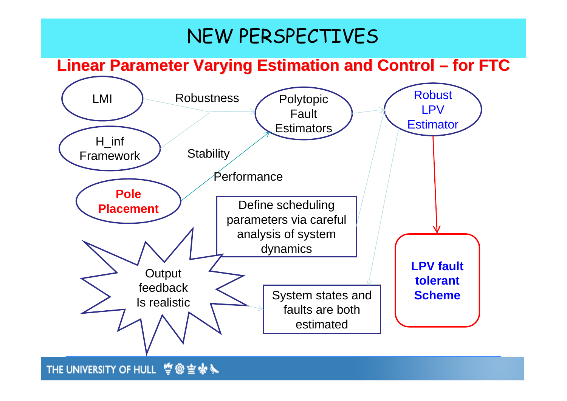### **Linear Parameter Varying Estimation and Control – for FTC**



**THE UNIVERSITY OF HULL 竺@空余入**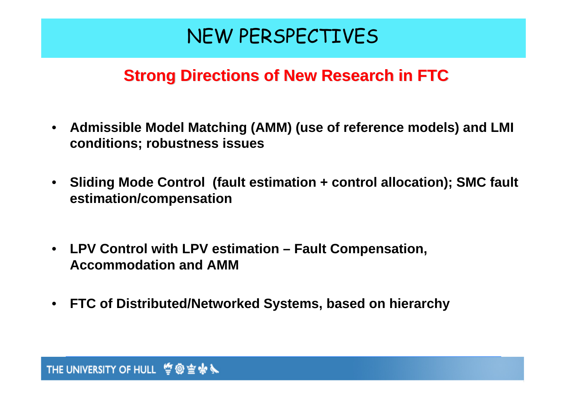### **Strong Directions of New Research in FTC**

- **Admissible Model Matching (AMM) (use of reference models) and LMI conditions; robustness issues**
- **Sliding Mode Control (fault estimation + control allocation); SMC fault estimation/compensation**
- **LPV Control with LPV estimation Fault Compensation, Accommodation and AMM**
- **FTC of Distributed/Networked Systems, based on hierarchy**

#### **THE UNIVERSITY OF HULL 掌@空余义**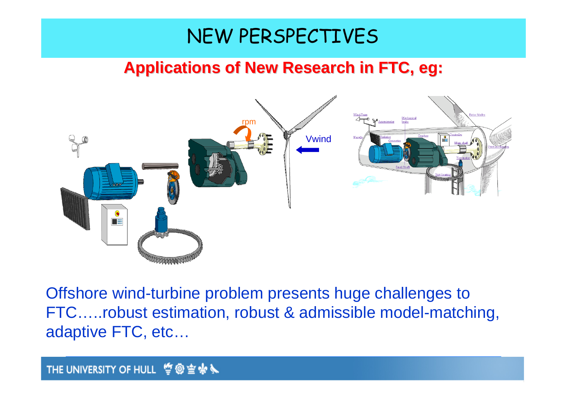### **Applications of New Research in FTC, eg: Applications of New Research in FTC, eg:**



Offshore wind-turbine problem presents huge challenges to FTC…..robust estimation, robust & admissible model-matching, adaptive FTC, etc…

#### **THE UNIVERSITY OF HULL 掌@空余义**